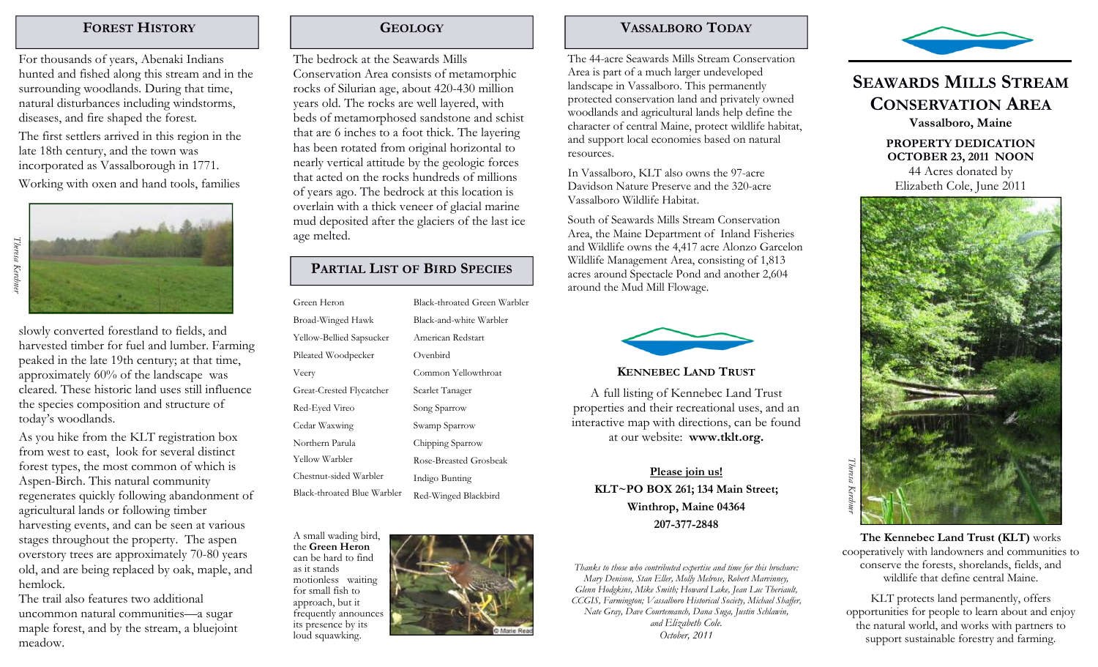### FOREST HISTORY

For thousands of years, Abenaki Indians hunted and fished along this stream and in the surrounding woodlands. During that time, natural disturbances including windstorms, diseases, and fire shaped the forest. The first settlers arrived in this region in the late 18th century, and the town was incorporated as Vassalborough in 1771. Working with oxen and hand tools, families

slowly converted forestland to fields, and harvested timber for fuel and lumber. Farming peaked in the late 19th century; at that time, approximately 60% of the landscape was cleared. These historic land uses still influence the species composition and structure of today's woodlands.

As you hike from the KLT registration box from west to east, look for several distinct forest types, the most common of which is Aspen-Birch. This natural community regenerates quickly following abandonment of agricultural lands or following timber harvesting events, and can be seen at various stages throughout the property. The aspen overstory trees are approximately 70-80 years old, and are being replaced by oak, maple, and hemlock.

 The trail also features two additional uncommon natural communities—a sugar maple forest, and by the stream, a bluejoint meadow.

### **GEOLOGY**

The bedrock at the Seawards Mills Conservation Area consists of metamorphic rocks of Silurian age, about 420-430 million years old. The rocks are well layered, with beds of metamorphosed sandstone and schist that are 6 inches to a foot thick. The layering has been rotated from original horizontal to nearly vertical attitude by the geologic forces that acted on the rocks hundreds of millions of years ago. The bedrock at this location is overlain with a thick veneer of glacial marine mud deposited after the glaciers of the last ice age melted.

## PARTIAL LIST OF BIRD SPECIES

| Green Heron                 | Black-throated Green Warbler |
|-----------------------------|------------------------------|
| Broad-Winged Hawk           | Black-and-white Warbler      |
| Yellow-Bellied Sapsucker    | American Redstart            |
| Pileated Woodpecker         | Ovenbird                     |
| Veery                       | Common Yellowthroat          |
| Great-Crested Flycatcher    | Scarlet Tanager              |
| Red-Eyed Vireo              | Song Sparrow                 |
| Cedar Waxwing               | Swamp Sparrow                |
| Northern Parula             | Chipping Sparrow             |
| Yellow Warbler              | Rose-Breasted Grosbeak       |
| Chestnut-sided Warbler      | Indigo Bunting               |
| Black-throated Blue Warbler | Red-Winged Blackbird         |
|                             |                              |

A small wading bird, the Green Heron can be hard to find as it stands motionless waiting for small fish to approach, but it frequently announces its presence by its loud squawking.



The 44-acre Seawards Mills Stream Conservation Area is part of a much larger undeveloped landscape in Vassalboro. This permanently protected conservation land and privately owned woodlands and agricultural lands help define the character of central Maine, protect wildlife habitat, and support local economies based on natural resources.

In Vassalboro, KLT also owns the 97-acre Davidson Nature Preserve and the 320-acre Vassalboro Wildlife Habitat.

South of Seawards Mills Stream Conservation Area, the Maine Department of Inland Fisheries and Wildlife owns the 4,417 acre Alonzo Garcelon Wildlife Management Area, consisting of 1,813 acres around Spectacle Pond and another 2,604 around the Mud Mill Flowage.



#### KENNEBEC LAND TRUST

A full listing of Kennebec Land Trust properties and their recreational uses, and an interactive map with directions, can be found at our website: www.tklt.org.

Please join us! KLT~PO BOX 261; 134 Main Street; Winthrop, Maine 04364 207-377-2848

Thanks to those who contributed expertise and time for this brochure: Mary Denison, Stan Eller, Molly Melrose, Robert Marvinney, Glenn Hodgkins, Mike Smith; Howard Lake, Jean Luc Theriault, CCGIS, Farmington; Vassalboro Historical Society, Michael Shaffer, Nate Gray, Dave Courtemanch, Dana Suga, Justin Schlawin, and Elizabeth Cole. October, 2011



# SEAWARDS MILLS STREAMCONSERVATION AREA

Vassalboro, Maine

PROPERTY DEDICATION OCTOBER 23, 2011 NOON 44 Acres donated by



The Kennebec Land Trust (KLT) works cooperatively with landowners and communities to conserve the forests, shorelands, fields, and wildlife that define central Maine.

KLT protects land permanently, offers opportunities for people to learn about and enjoy the natural world, and works with partners to support sustainable forestry and farming.